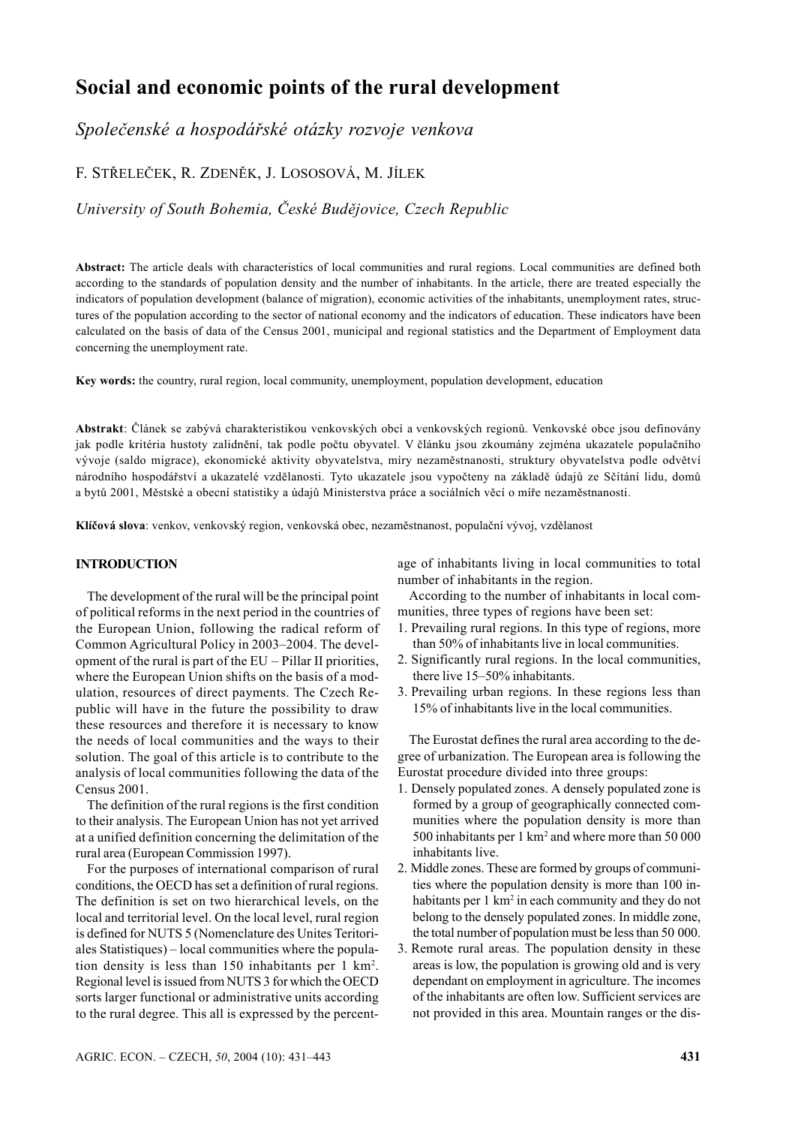# **Social and economic points of the rural development**

*Společenské a hospodářské otázky rozvoje venkova*

F. STŘELEČEK, R. ZDENĚK, J. LOSOSOVÁ, M. JÍLEK

*University of South Bohemia, České Budějovice, Czech Republic*

**Abstract:** The article deals with characteristics of local communities and rural regions. Local communities are defined both according to the standards of population density and the number of inhabitants. In the article, there are treated especially the indicators of population development (balance of migration), economic activities of the inhabitants, unemployment rates, structures of the population according to the sector of national economy and the indicators of education. These indicators have been calculated on the basis of data of the Census 2001, municipal and regional statistics and the Department of Employment data concerning the unemployment rate.

**Key words:** the country, rural region, local community, unemployment, population development, education

**Abstrakt**: Článek se zabývá charakteristikou venkovských obcí a venkovských regionů. Venkovské obce jsou definovány jak podle kritéria hustoty zalidnění, tak podle počtu obyvatel. V článku jsou zkoumány zejména ukazatele populačního vývoje (saldo migrace), ekonomické aktivity obyvatelstva, míry nezaměstnanosti, struktury obyvatelstva podle odvětví národního hospodářství a ukazatelé vzdělanosti. Tyto ukazatele jsou vypočteny na základě údajů ze Sčítání lidu, domů a bytů 2001, Městské a obecní statistiky a údajů Ministerstva práce a sociálních věcí o míře nezaměstnanosti.

**Klíčová slova**: venkov, venkovský region, venkovská obec, nezaměstnanost, populační vývoj, vzdělanost

# **INTRODUCTION**

The development of the rural will be the principal point of political reforms in the next period in the countries of the European Union, following the radical reform of Common Agricultural Policy in 2003–2004. The development of the rural is part of the EU – Pillar II priorities, where the European Union shifts on the basis of a modulation, resources of direct payments. The Czech Republic will have in the future the possibility to draw these resources and therefore it is necessary to know the needs of local communities and the ways to their solution. The goal of this article is to contribute to the analysis of local communities following the data of the Census 2001.

The definition of the rural regions is the first condition to their analysis. The European Union has not yet arrived at a unified definition concerning the delimitation of the rural area (European Commission 1997).

For the purposes of international comparison of rural conditions, the OECD has set a definition of rural regions. The definition is set on two hierarchical levels, on the local and territorial level. On the local level, rural region is defined for NUTS 5 (Nomenclature des Unites Teritoriales Statistiques) – local communities where the population density is less than 150 inhabitants per 1 km2 . Regional level is issued from NUTS 3 for which the OECD sorts larger functional or administrative units according to the rural degree. This all is expressed by the percentage of inhabitants living in local communities to total number of inhabitants in the region.

According to the number of inhabitants in local communities, three types of regions have been set:

- 1. Prevailing rural regions. In this type of regions, more than 50% of inhabitants live in local communities.
- 2. Significantly rural regions. In the local communities, there live 15–50% inhabitants.
- 3. Prevailing urban regions. In these regions less than 15% of inhabitants live in the local communities.

The Eurostat defines the rural area according to the degree of urbanization. The European area is following the Eurostat procedure divided into three groups:

- 1. Densely populated zones. A densely populated zone is formed by a group of geographically connected communities where the population density is more than 500 inhabitants per 1 km<sup>2</sup> and where more than 50 000 inhabitants live.
- 2. Middle zones. These are formed by groups of communities where the population density is more than 100 inhabitants per 1 km<sup>2</sup> in each community and they do not belong to the densely populated zones. In middle zone, the total number of population must be less than 50 000.
- 3. Remote rural areas. The population density in these areas is low, the population is growing old and is very dependant on employment in agriculture. The incomes of the inhabitants are often low. Sufficient services are not provided in this area. Mountain ranges or the dis-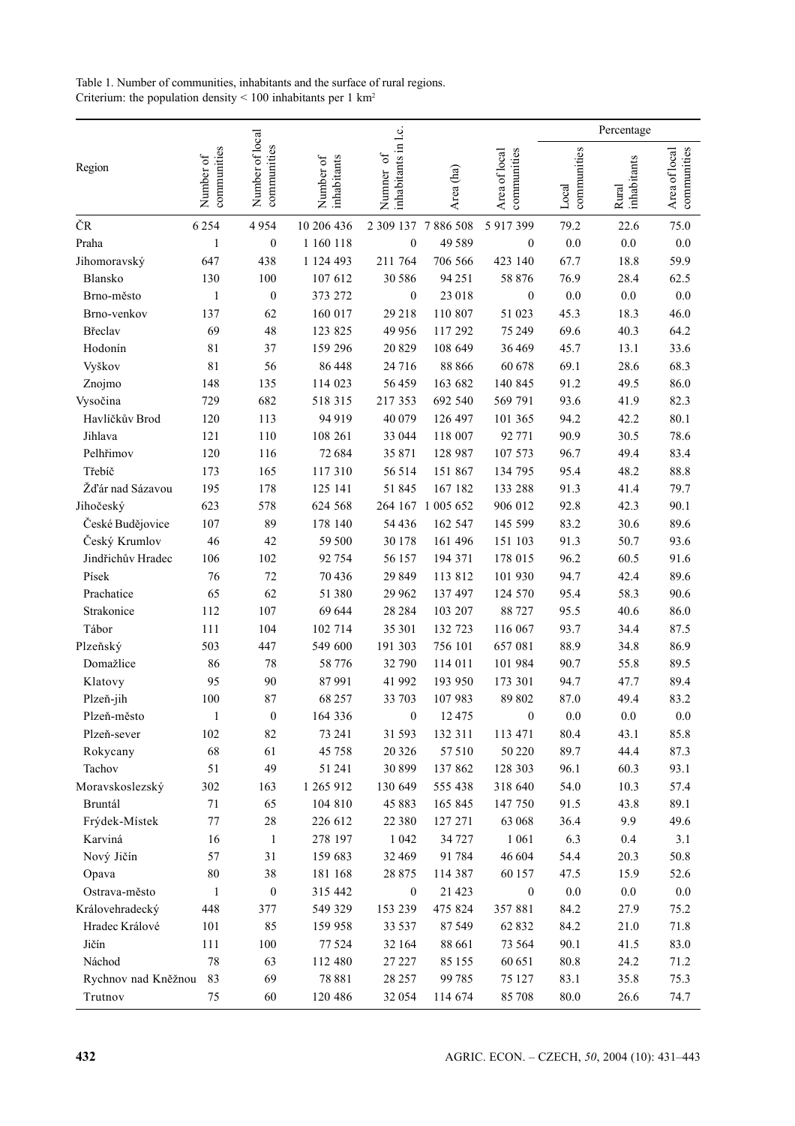|                     |                          |                                |                          |                                  |           |                              |                      | Percentage           |                              |
|---------------------|--------------------------|--------------------------------|--------------------------|----------------------------------|-----------|------------------------------|----------------------|----------------------|------------------------------|
| Region              | communities<br>Number of | Number of local<br>communities | Number of<br>inhabitants | inhabitants in l.c.<br>Numner of | Area (ha) | communities<br>Area of local | communities<br>Local | inhabitants<br>Rural | communities<br>Area of local |
| ČR                  | 6254                     | 4954                           | 10 206 436               | 2 309 137 7 886 508              |           | 5 917 399                    | 79.2                 | 22.6                 | 75.0                         |
| Praha               | 1                        | $\boldsymbol{0}$               | 1 160 118                | $\boldsymbol{0}$                 | 49 5 89   | $\boldsymbol{0}$             | 0.0                  | $0.0\,$              | $0.0\,$                      |
| Jihomoravský        | 647                      | 438                            | 1 124 493                | 211 764                          | 706 566   | 423 140                      | 67.7                 | 18.8                 | 59.9                         |
| Blansko             | 130                      | 100                            | 107 612                  | 30 586                           | 94 251    | 58 876                       | 76.9                 | 28.4                 | 62.5                         |
| Brno-město          | 1                        | $\boldsymbol{0}$               | 373 272                  | $\boldsymbol{0}$                 | 23 018    | $\boldsymbol{0}$             | 0.0                  | $0.0\,$              | $0.0\,$                      |
| Brno-venkov         | 137                      | 62                             | 160 017                  | 29 218                           | 110 807   | 51 023                       | 45.3                 | 18.3                 | 46.0                         |
| Břeclav             | 69                       | 48                             | 123 825                  | 49 9 56                          | 117 292   | 75 249                       | 69.6                 | 40.3                 | 64.2                         |
| Hodonín             | 81                       | 37                             | 159 296                  | 20829                            | 108 649   | 36 4 69                      | 45.7                 | 13.1                 | 33.6                         |
| Vyškov              | 81                       | 56                             | 86 448                   | 24 7 16                          | 88 866    | 60 678                       | 69.1                 | 28.6                 | 68.3                         |
| Znojmo              | 148                      | 135                            | 114 023                  | 56459                            | 163 682   | 140 845                      | 91.2                 | 49.5                 | 86.0                         |
| Vysočina            | 729                      | 682                            | 518 315                  | 217 353                          | 692 540   | 569 791                      | 93.6                 | 41.9                 | 82.3                         |
| Havlíčkův Brod      | 120                      | 113                            | 94 919                   | 40 079                           | 126 497   | 101 365                      | 94.2                 | 42.2                 | 80.1                         |
| Jihlava             | 121                      | 110                            | 108 261                  | 33 044                           | 118 007   | 92 771                       | 90.9                 | 30.5                 | 78.6                         |
| Pelhřimov           | 120                      | 116                            | 72 684                   | 35 871                           | 128 987   | 107 573                      | 96.7                 | 49.4                 | 83.4                         |
| Třebíč              | 173                      | 165                            | 117 310                  | 56 514                           | 151 867   | 134 795                      | 95.4                 | 48.2                 | 88.8                         |
| Žďár nad Sázavou    | 195                      | 178                            | 125 141                  | 51845                            | 167 182   | 133 288                      | 91.3                 | 41.4                 | 79.7                         |
| Jihočeský           | 623                      | 578                            | 624 568                  | 264 167                          | 1 005 652 | 906 012                      | 92.8                 | 42.3                 | 90.1                         |
| České Budějovice    | 107                      | 89                             | 178 140                  | 54 4 36                          | 162 547   | 145 599                      | 83.2                 | 30.6                 | 89.6                         |
| Český Krumlov       | 46                       | 42                             | 59 500                   | 30 178                           | 161 496   | 151 103                      | 91.3                 | 50.7                 | 93.6                         |
| Jindřichův Hradec   | 106                      | 102                            | 92 754                   | 56 157                           | 194 371   | 178 015                      | 96.2                 | 60.5                 | 91.6                         |
| Písek               | 76                       | 72                             | 70 436                   | 29 8 49                          | 113 812   | 101 930                      | 94.7                 | 42.4                 | 89.6                         |
| Prachatice          | 65                       | 62                             | 51 380                   | 29 9 62                          | 137 497   | 124 570                      | 95.4                 | 58.3                 | 90.6                         |
| Strakonice          | 112                      | 107                            | 69 644                   | 28 2 8 4                         | 103 207   | 88727                        | 95.5                 | 40.6                 | 86.0                         |
| Tábor               | 111                      | 104                            | 102 714                  | 35 301                           | 132 723   | 116 067                      | 93.7                 | 34.4                 | 87.5                         |
| Plzeňský            | 503                      | 447                            | 549 600                  | 191 303                          | 756 101   | 657 081                      | 88.9                 | 34.8                 | 86.9                         |
| Domažlice           | 86                       | $78\,$                         | 58 776                   | 32 790                           | 114 011   | 101 984                      | 90.7                 | 55.8                 | 89.5                         |
| Klatovy             | 95                       | 90                             | 87991                    | 41 992                           | 193 950   | 173 301                      | 94.7                 | 47.7                 | 89.4                         |
| Plzeň-jih           | 100                      | 87                             | 68 257                   | 33 703                           | 107 983   | 89 802                       | 87.0                 | 49.4                 | 83.2                         |
| Plzeň-město         | 1                        | $\boldsymbol{0}$               | 164 336                  | $\boldsymbol{0}$                 | 12 4 7 5  | $\boldsymbol{0}$             | 0.0                  | 0.0                  | $0.0\,$                      |
| Plzeň-sever         | 102                      | 82                             | 73 241                   | 31 5 93                          | 132 311   | 113 471                      | 80.4                 | 43.1                 | 85.8                         |
| Rokycany            | 68                       | 61                             | 45 758                   | 20 3 26                          | 57510     | 50 220                       | 89.7                 | 44.4                 | 87.3                         |
| Tachov              | 51                       | 49                             | 51 241                   | 30 899                           | 137 862   | 128 303                      | 96.1                 | 60.3                 | 93.1                         |
| Moravskoslezský     | 302                      | 163                            | 1 265 912                | 130 649                          | 555 438   | 318 640                      | 54.0                 | 10.3                 | 57.4                         |
| Bruntál             | 71                       | 65                             | 104 810                  | 45 8 8 3                         | 165 845   | 147 750                      | 91.5                 | 43.8                 | 89.1                         |
| Frýdek-Místek       | $77 \,$                  | 28                             | 226 612                  | 22 3 8 0                         | 127 271   | 63 068                       | 36.4                 | 9.9                  | 49.6                         |
| Karviná             | 16                       | $\mathbf{1}$                   | 278 197                  | 1 0 4 2                          | 34727     | 1 0 6 1                      | 6.3                  | 0.4                  | 3.1                          |
| Nový Jičín          | 57                       | 31                             | 159 683                  | 32 469                           | 91 784    | 46 604                       | 54.4                 | 20.3                 | 50.8                         |
| Opava               | 80                       | 38                             | 181 168                  | 28 8 7 5                         | 114 387   | 60 157                       | 47.5                 | 15.9                 | 52.6                         |
| Ostrava-město       | $\mathbf{1}$             | $\boldsymbol{0}$               | 315 442                  | $\boldsymbol{0}$                 | 21 4 23   | $\boldsymbol{0}$             | $0.0\,$              | $0.0\,$              | $0.0\,$                      |
| Královehradecký     | 448                      | 377                            | 549 329                  | 153 239                          | 475 824   | 357 881                      | 84.2                 | 27.9                 | 75.2                         |
| Hradec Králové      | 101                      | 85                             | 159 958                  | 33 5 37                          | 87 549    | 62 832                       | 84.2                 | 21.0                 | 71.8                         |
| Jičín               | 111                      | $100\,$                        | 77 524                   | 32 164                           | 88 661    | 73 5 64                      | 90.1                 | 41.5                 | 83.0                         |
| Náchod              | $78\,$                   | 63                             | 112 480                  | 27 227                           | 85 155    | 60 651                       | 80.8                 | 24.2                 | 71.2                         |
| Rychnov nad Kněžnou | 83                       | 69                             | 78 881                   | 28 257                           | 99 785    | 75 127                       | 83.1                 | 35.8                 | 75.3                         |
| Trutnov             | 75                       | 60                             | 120 486                  | 32 054                           | 114 674   | 85 708                       | $80.0\,$             | 26.6                 | 74.7                         |

| Table 1. Number of communities, inhabitants and the surface of rural regions.  |  |
|--------------------------------------------------------------------------------|--|
| Criterium: the population density $\leq 100$ inhabitants per 1 km <sup>2</sup> |  |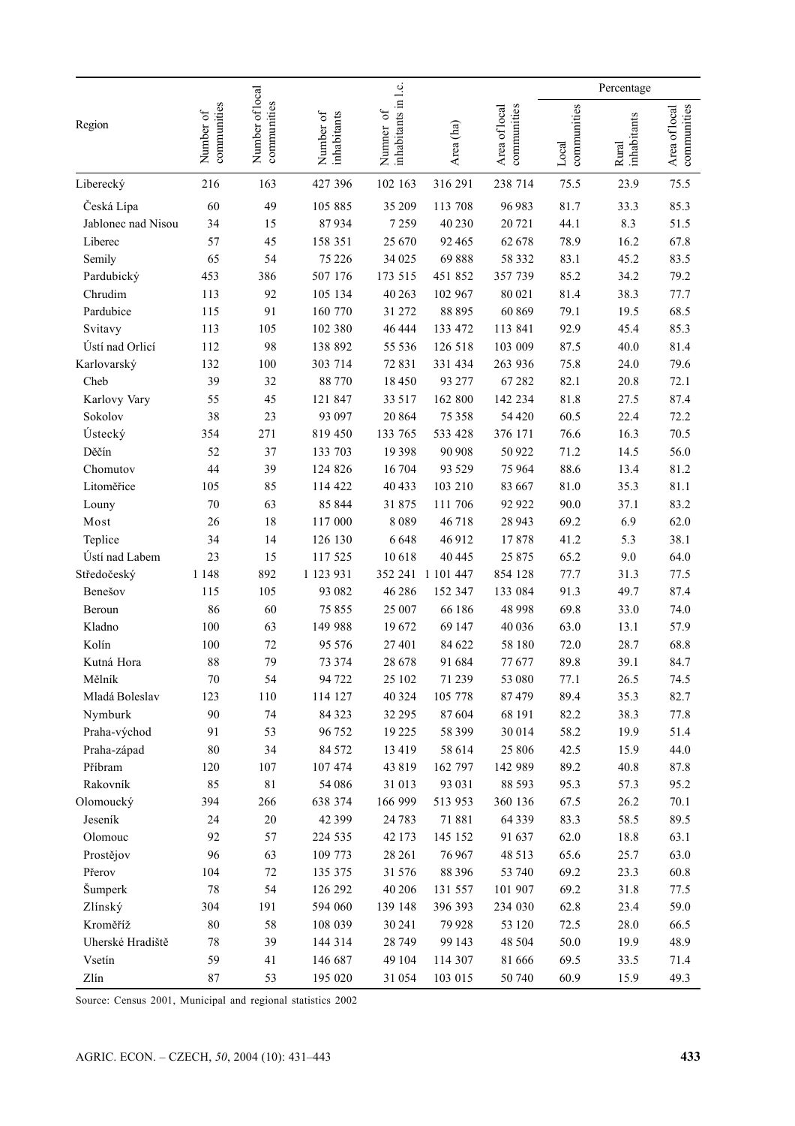|                      |                          |                                |                          |                                  |                  |                              |                      | Percentage           |                              |
|----------------------|--------------------------|--------------------------------|--------------------------|----------------------------------|------------------|------------------------------|----------------------|----------------------|------------------------------|
| Region               | communities<br>Number of | Number of local<br>communities | Number of<br>inhabitants | inhabitants in l.c.<br>Numner of | Area (ha)        | communities<br>Area of local | communities<br>Local | inhabitants<br>Rural | communities<br>Area of local |
| Liberecký            | 216                      | 163                            | 427 396                  | 102 163                          | 316 291          | 238 714                      | 75.5                 | 23.9                 | 75.5                         |
| Česká Lípa           | 60                       | 49                             | 105 885                  | 35 209                           | 113 708          | 96 983                       | 81.7                 | 33.3                 | 85.3                         |
| Jablonec nad Nisou   | 34                       | 15                             | 87934                    | 7259                             | 40 230           | 20721                        | 44.1                 | 8.3                  | 51.5                         |
| Liberec              | 57                       | 45                             | 158 351                  | 25 670                           | 92 4 65          | 62 678                       | 78.9                 | 16.2                 | 67.8                         |
| Semily               | 65                       | 54                             | 75 226                   | 34 025                           | 69888            | 58 3 3 2                     | 83.1                 | 45.2                 | 83.5                         |
| Pardubický           | 453                      | 386                            | 507 176                  | 173 515                          | 451 852          | 357 739                      | 85.2                 | 34.2                 | 79.2                         |
| Chrudim              | 113                      | 92                             | 105 134                  | 40 263                           | 102 967          | 80 021                       | 81.4                 | 38.3                 | 77.7                         |
| Pardubice            | 115                      | 91                             | 160 770                  | 31 272                           | 88 895           | 60 869                       | 79.1                 | 19.5                 | 68.5                         |
| Svitavy              | 113                      | 105                            | 102 380                  | 46 4 44                          | 133 472          | 113 841                      | 92.9                 | 45.4                 | 85.3                         |
| Ústí nad Orlicí      | 112                      | 98                             | 138 892                  | 55 536                           | 126 518          | 103 009                      | 87.5                 | 40.0                 | 81.4                         |
| Karlovarský          | 132                      | 100                            | 303 714                  | 72831                            | 331 434          | 263 936                      | 75.8                 | 24.0                 | 79.6                         |
| Cheb                 | 39                       | 32                             | 88770                    | 18450                            | 93 277           | 67282                        | 82.1                 | 20.8                 | 72.1                         |
| Karlovy Vary         | 55                       | 45                             | 121 847                  | 33 517                           | 162 800          | 142 234                      | 81.8                 | 27.5                 | 87.4                         |
| Sokolov              | 38                       | 23                             | 93 097                   | 20 864                           | 75 358           | 54 4 20                      | 60.5                 | 22.4                 | 72.2                         |
| Ústecký              | 354                      | 271                            | 819 450                  | 133 765                          | 533 428          | 376 171                      | 76.6                 | 16.3                 | 70.5                         |
| Děčín                | 52                       | 37                             | 133 703                  | 19398                            | 90 90 8          | 50 922                       | 71.2                 | 14.5                 | 56.0                         |
| Chomutov             | 44                       | 39                             | 124 826                  | 16 704                           | 93 5 29          | 75 964                       | 88.6                 | 13.4                 | 81.2                         |
| Litoměřice           | 105                      | 85                             | 114 422                  | 40 433                           | 103 210          | 83 667                       | 81.0                 | 35.3                 | 81.1                         |
| Louny                | 70                       | 63                             | 85 844                   | 31875                            | 111 706          | 92 922                       | 90.0                 | 37.1                 | 83.2                         |
| Most                 | 26                       | 18                             | 117 000                  | 8089                             | 46718            | 28 943                       | 69.2                 | 6.9                  | 62.0                         |
| Teplice              | 34                       | 14                             | 126 130                  | 6648                             | 46 912           | 17878                        | 41.2                 | 5.3                  | 38.1                         |
| Ústí nad Labem       | 23                       | 15                             | 117 525                  | 10618                            | 40 445           | 25 875                       | 65.2                 | 9.0                  | 64.0                         |
| Středočeský          | 1 1 4 8                  | 892                            | 1 123 931                | 352 241                          | 1 101 447        | 854 128                      | 77.7                 | 31.3                 | 77.5                         |
| Benešov              | 115                      | 105                            | 93 082                   | 46 28 6                          | 152 347          | 133 084                      | 91.3                 | 49.7                 | 87.4                         |
| Beroun               | 86                       | 60                             | 75855                    | 25 007                           | 66 186           | 48 998                       | 69.8                 | 33.0                 | 74.0                         |
| Kladno               | 100                      | 63                             | 149 988                  | 19672                            | 69 147           | 40 036                       | 63.0                 | 13.1                 | 57.9                         |
| Kolín                | 100                      | $72\,$                         | 95 5 7 6                 | 27401                            | 84 622           | 58 180                       | 72.0                 | 28.7                 | 68.8                         |
| Kutná Hora           | 88                       | 79                             | 73 374                   | 28 678                           | 91 684           | 77677                        | 89.8                 | 39.1                 | 84.7                         |
| Mělník               | 70                       | 54                             | 94 722                   | 25 102                           | 71 239           | 53 080                       | 77.1                 | 26.5                 | 74.5                         |
| Mladá Boleslav       | 123                      | 110                            | 114 127                  | 40 3 24                          | 105 778          | 87479                        | 89.4                 | 35.3                 | 82.7                         |
| Nymburk              | 90                       | 74                             | 84 3 23                  | 32 29 5                          | 87604            | 68 191                       | 82.2                 | 38.3                 | 77.8                         |
| Praha-východ         | 91                       | 53                             | 96 752                   | 19 2 25                          | 58 399           | 30014                        | 58.2                 | 19.9                 | 51.4                         |
| Praha-západ          | $80\,$                   | 34                             | 84 572                   | 13419                            | 58 614           | 25 806                       | 42.5                 | 15.9                 | 44.0                         |
| Příbram              | 120                      | 107                            | 107 474                  | 43819                            | 162 797          | 142 989                      | 89.2                 | 40.8                 | 87.8                         |
| Rakovník             | 85                       | $8\sqrt{1}$                    | 54 086                   | 31 013<br>166 999                | 93 031           | 88 5 93                      | 95.3                 | 57.3                 | 95.2                         |
| Olomoucký<br>Jeseník | 394                      | 266<br>$20\,$                  | 638 374<br>42 3 9 9      |                                  | 513 953          | 360 136<br>64 3 3 9          | 67.5                 | 26.2<br>58.5         | 70.1                         |
|                      | 24<br>92                 | 57                             |                          | 24 7 8 3                         | 71881            |                              | 83.3<br>62.0         |                      | 89.5                         |
| Olomouc<br>Prostějov | 96                       | 63                             | 224 535<br>109 773       | 42 173<br>28 26 1                | 145 152<br>76967 | 91 637<br>48 513             | 65.6                 | 18.8<br>25.7         | 63.1<br>63.0                 |
| Přerov               | 104                      | $72\,$                         | 135 375                  | 31 576                           | 88 3 96          | 53 740                       | 69.2                 | 23.3                 | 60.8                         |
| Šumperk              | 78                       | 54                             | 126 292                  | 40 20 6                          | 131 557          | 101 907                      | 69.2                 | 31.8                 | 77.5                         |
| Zlínský              | 304                      | 191                            | 594 060                  | 139 148                          | 396 393          | 234 030                      | 62.8                 | 23.4                 | 59.0                         |
| Kroměříž             | 80                       | 58                             | 108 039                  | 30 24 1                          | 79928            | 53 120                       | 72.5                 | 28.0                 | 66.5                         |
| Uherské Hradiště     | 78                       | 39                             | 144 314                  | 28 749                           | 99 143           | 48 5 04                      | $50.0\,$             | 19.9                 | 48.9                         |
| Vsetín               | 59                       | 41                             | 146 687                  | 49 104                           | 114 307          | 81 666                       | 69.5                 | 33.5                 | 71.4                         |
| Zlín                 | $87\,$                   | 53                             | 195 020                  | 31 054                           | 103 015          | 50 740                       | 60.9                 | 15.9                 | 49.3                         |

Source: Census 2001, Municipal and regional statistics 2002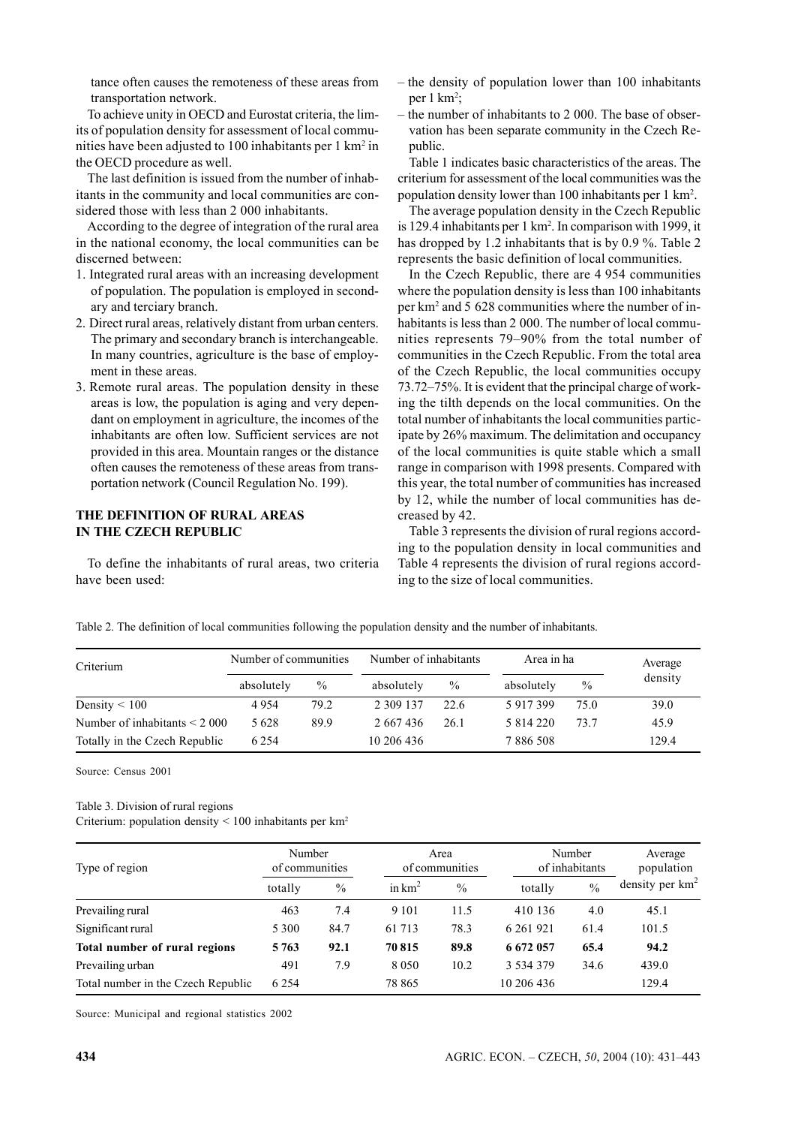tance often causes the remoteness of these areas from transportation network.

To achieve unity in OECD and Eurostat criteria, the limits of population density for assessment of local communities have been adjusted to 100 inhabitants per 1 km<sup>2</sup> in the OECD procedure as well.

The last definition is issued from the number of inhabitants in the community and local communities are considered those with less than 2 000 inhabitants.

According to the degree of integration of the rural area in the national economy, the local communities can be discerned between:

- 1. Integrated rural areas with an increasing development of population. The population is employed in secondary and terciary branch.
- 2. Direct rural areas, relatively distant from urban centers. The primary and secondary branch is interchangeable. In many countries, agriculture is the base of employment in these areas.
- 3. Remote rural areas. The population density in these areas is low, the population is aging and very dependant on employment in agriculture, the incomes of the inhabitants are often low. Sufficient services are not provided in this area. Mountain ranges or the distance often causes the remoteness of these areas from transportation network (Council Regulation No. 199).

### **THE DEFINITION OF RURAL AREAS IN THE CZECH REPUBLIC**

To define the inhabitants of rural areas, two criteria have been used:

- the density of population lower than 100 inhabitants per 1 km<sup>2</sup>;
- the number of inhabitants to 2 000. The base of observation has been separate community in the Czech Republic.

Table 1 indicates basic characteristics of the areas. The criterium for assessment of the local communities was the population density lower than 100 inhabitants per 1 km2 .

The average population density in the Czech Republic is 129.4 inhabitants per 1 km<sup>2</sup>. In comparison with 1999, it has dropped by 1.2 inhabitants that is by 0.9 %. Table 2 represents the basic definition of local communities.

In the Czech Republic, there are 4 954 communities where the population density is less than 100 inhabitants per km2 and 5 628 communities where the number of inhabitants is less than 2 000. The number of local communities represents 79–90% from the total number of communities in the Czech Republic. From the total area of the Czech Republic, the local communities occupy 73.72–75%. It is evident that the principal charge of working the tilth depends on the local communities. On the total number of inhabitants the local communities participate by 26% maximum. The delimitation and occupancy of the local communities is quite stable which a small range in comparison with 1998 presents. Compared with this year, the total number of communities has increased by 12, while the number of local communities has decreased by 42.

Table 3 represents the division of rural regions according to the population density in local communities and Table 4 represents the division of rural regions according to the size of local communities.

| Table 2. The definition of local communities following the population density and the number of inhabitants. |  |  |  |  |
|--------------------------------------------------------------------------------------------------------------|--|--|--|--|
|                                                                                                              |  |  |  |  |

| Criterium                         | Number of communities |               | Number of inhabitants |      | Area in ha  |               | Average |  |
|-----------------------------------|-----------------------|---------------|-----------------------|------|-------------|---------------|---------|--|
|                                   | absolutely            | $\frac{0}{0}$ | absolutely            | $\%$ | absolutely  | $\frac{0}{0}$ | density |  |
| Density $\leq 100$                | 4954                  | 79.2          | 2 309 137             | 22.6 | 5 917 399   | 75.0          | 39.0    |  |
| Number of inhabitants $\leq 2000$ | 5 6 2 8               | 89.9          | 2 667 436             | 26.1 | 5 8 14 2 20 | 73.7          | 45.9    |  |
| Totally in the Czech Republic     | 6 2 5 4               |               | 10 206 436            |      | 7886508     |               | 129.4   |  |

Source: Census 2001

#### Table 3. Division of rural regions

Criterium: population density  $\leq 100$  inhabitants per km<sup>2</sup>

| Type of region                     | Number<br>of communities |      | Area<br>of communities |               | Number<br>of inhabitants |               | Average<br>population |
|------------------------------------|--------------------------|------|------------------------|---------------|--------------------------|---------------|-----------------------|
|                                    | totally                  | $\%$ | in $km^2$              | $\frac{0}{0}$ | totally                  | $\frac{0}{0}$ | density per $km^2$    |
| Prevailing rural                   | 463                      | 7.4  | 9 1 0 1                | 11.5          | 410 136                  | 4.0           | 45.1                  |
| Significant rural                  | 5 3 0 0                  | 84.7 | 61 713                 | 78.3          | 6 2 6 1 9 2 1            | 61.4          | 101.5                 |
| Total number of rural regions      | 5 7 6 3                  | 92.1 | 70 815                 | 89.8          | 6 672 057                | 65.4          | 94.2                  |
| Prevailing urban                   | 491                      | 7.9  | 8 0 5 0                | 10.2          | 3 534 379                | 34.6          | 439.0                 |
| Total number in the Czech Republic | 6 2 5 4                  |      | 78 865                 |               | 10 206 436               |               | 129.4                 |

Source: Municipal and regional statistics 2002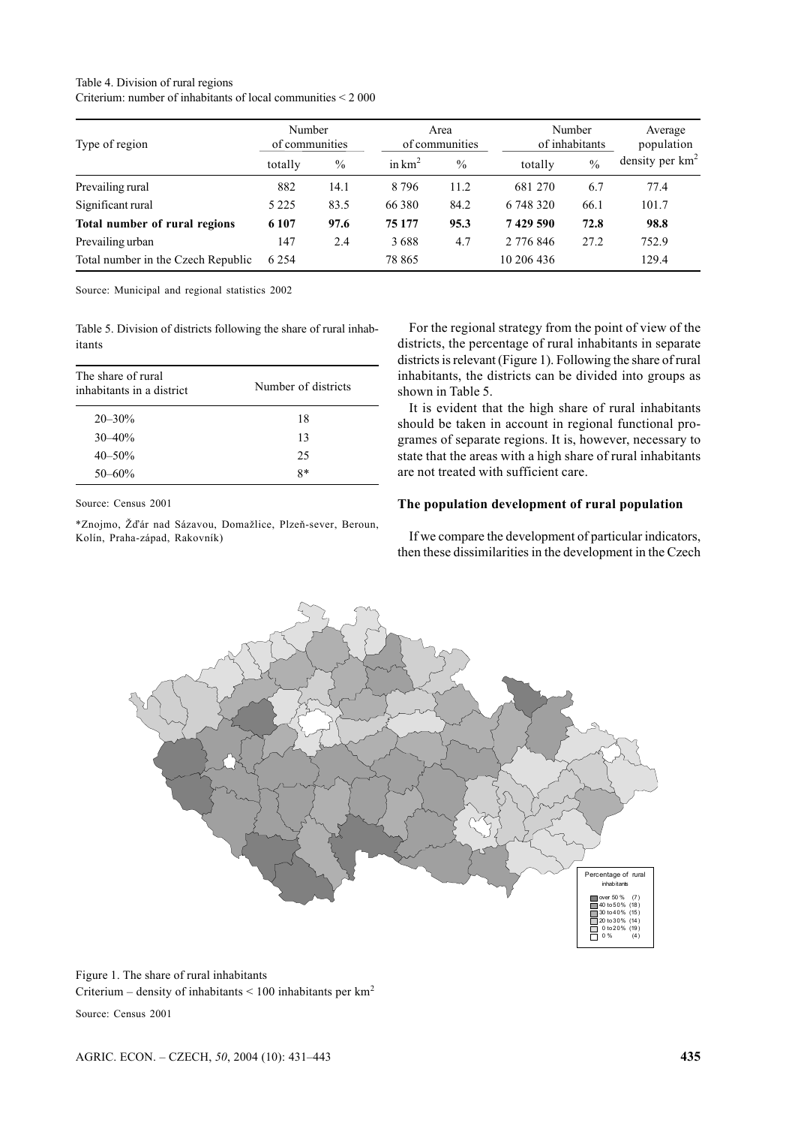#### Table 4. Division of rural regions Criterium: number of inhabitants of local communities < 2 000

| Type of region                     | Number<br>of communities |               | Area<br>of communities |               | Number<br>of inhabitants |               | Average<br>population |  |
|------------------------------------|--------------------------|---------------|------------------------|---------------|--------------------------|---------------|-----------------------|--|
|                                    | totally                  | $\frac{0}{0}$ | in $km^2$              | $\frac{0}{0}$ | totally                  | $\frac{0}{0}$ | density per $km^2$    |  |
| Prevailing rural                   | 882                      | 14.1          | 8796                   | 11.2          | 681 270                  | 6.7           | 77.4                  |  |
| Significant rural                  | 5 2 2 5                  | 83.5          | 66 3 8 0               | 84.2          | 6 748 320                | 66.1          | 101.7                 |  |
| Total number of rural regions      | 6 1 0 7                  | 97.6          | 75 177                 | 95.3          | 7429590                  | 72.8          | 98.8                  |  |
| Prevailing urban                   | 147                      | 2.4           | 3688                   | 4.7           | 2 776 846                | 27.2          | 752.9                 |  |
| Total number in the Czech Republic | 6 2 5 4                  |               | 78 865                 |               | 10 206 436               |               | 129.4                 |  |

Source: Municipal and regional statistics 2002

Table 5. Division of districts following the share of rural inhabitants

| The share of rural<br>inhabitants in a district | Number of districts |
|-------------------------------------------------|---------------------|
| $20 - 30\%$                                     | 18                  |
| $30 - 40%$                                      | 13                  |
| $40 - 50\%$                                     | 25                  |
| $50 - 60%$                                      | $8*$                |

Source: Census 2001

\*Znojmo, Žďár nad Sázavou, Domažlice, Plzeň-sever, Beroun, Kolín, Praha-západ, Rakovník)

For the regional strategy from the point of view of the districts, the percentage of rural inhabitants in separate districts is relevant (Figure 1). Following the share of rural inhabitants, the districts can be divided into groups as shown in Table 5.

It is evident that the high share of rural inhabitants should be taken in account in regional functional programes of separate regions. It is, however, necessary to state that the areas with a high share of rural inhabitants are not treated with sufficient care.

# **The population development of rural population**

If we compare the development of particular indicators, then these dissimilarities in the development in the Czech



Figure 1. The share of rural inhabitants Criterium – density of inhabitants  $\leq 100$  inhabitants per km<sup>2</sup>

Source: Census 2001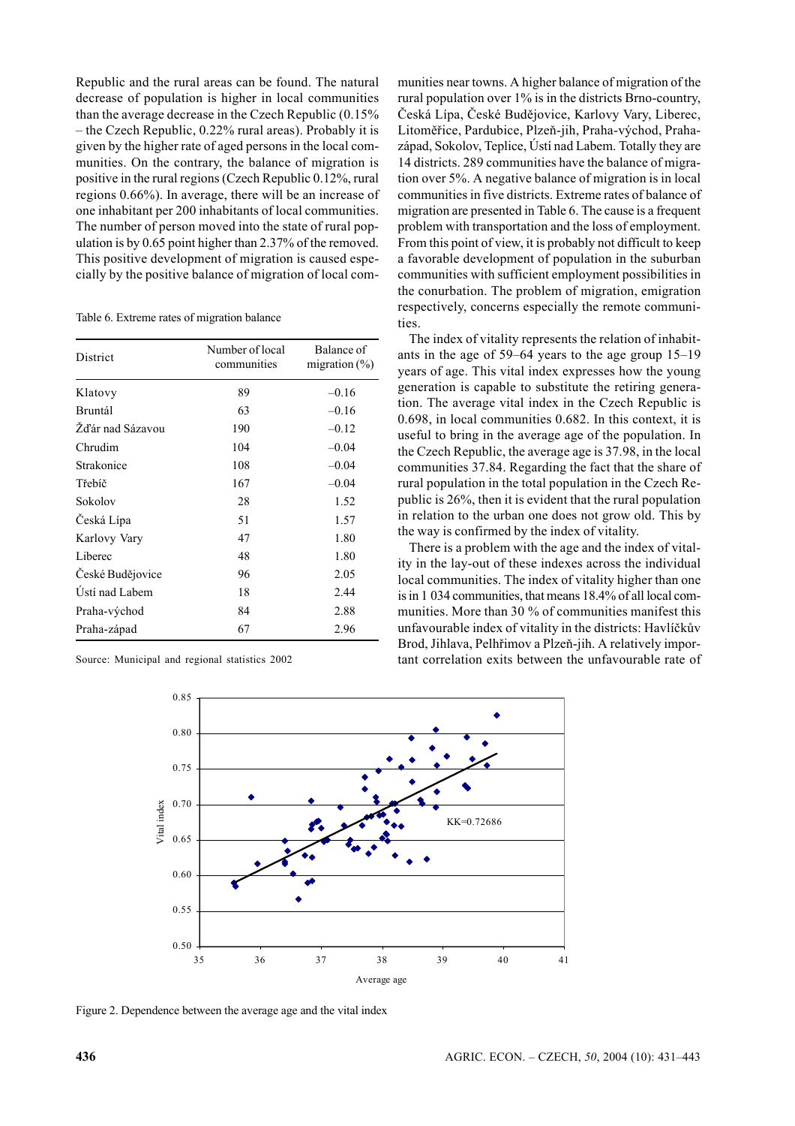Republic and the rural areas can be found. The natural decrease of population is higher in local communities than the average decrease in the Czech Republic (0.15% – the Czech Republic, 0.22% rural areas). Probably it is given by the higher rate of aged persons in the local communities. On the contrary, the balance of migration is positive in the rural regions (Czech Republic 0.12%, rural regions 0.66%). In average, there will be an increase of one inhabitant per 200 inhabitants of local communities. The number of person moved into the state of rural population is by 0.65 point higher than 2.37% of the removed. This positive development of migration is caused especially by the positive balance of migration of local com-

Table 6. Extreme rates of migration balance

| District         | Number of local<br>communities | Balance of<br>migration $(\%)$ |
|------------------|--------------------------------|--------------------------------|
| Klatovy          | 89                             | $-0.16$                        |
| <b>Bruntál</b>   | 63                             | $-0.16$                        |
| Žďár nad Sázavou | 190                            | $-0.12$                        |
| Chrudim          | 104                            | $-0.04$                        |
| Strakonice       | 108                            | $-0.04$                        |
| Třebíč           | 167                            | $-0.04$                        |
| Sokolov          | 28                             | 1.52                           |
| Česká Lípa       | 51                             | 1.57                           |
| Karlovy Vary     | 47                             | 1.80                           |
| Liberec          | 48                             | 1.80                           |
| České Budějovice | 96                             | 2.05                           |
| Ústí nad Labem   | 18                             | 2.44                           |
| Praha-východ     | 84                             | 2.88                           |
| Praha-západ      | 67                             | 2.96                           |

Source: Municipal and regional statistics 2002

munities near towns. A higher balance of migration of the rural population over 1% is in the districts Brno-country, Česká Lípa, České Budějovice, Karlovy Vary, Liberec, Litoměřice, Pardubice, Plzeň-jih, Praha-východ, Prahazápad, Sokolov, Teplice, Ústí nad Labem. Totally they are 14 districts. 289 communities have the balance of migration over 5%. A negative balance of migration is in local communities in five districts. Extreme rates of balance of migration are presented in Table 6. The cause is a frequent problem with transportation and the loss of employment. From this point of view, it is probably not difficult to keep a favorable development of population in the suburban communities with sufficient employment possibilities in the conurbation. The problem of migration, emigration respectively, concerns especially the remote communities.

The index of vitality represents the relation of inhabitants in the age of 59–64 years to the age group 15–19 years of age. This vital index expresses how the young generation is capable to substitute the retiring generation. The average vital index in the Czech Republic is 0.698, in local communities 0.682. In this context, it is useful to bring in the average age of the population. In the Czech Republic, the average age is 37.98, in the local communities 37.84. Regarding the fact that the share of rural population in the total population in the Czech Republic is 26%, then it is evident that the rural population in relation to the urban one does not grow old. This by the way is confirmed by the index of vitality.

There is a problem with the age and the index of vitality in the lay-out of these indexes across the individual local communities. The index of vitality higher than one is in 1 034 communities, that means 18.4% of all local communities. More than 30 % of communities manifest this unfavourable index of vitality in the districts: Havlíčkův Brod, Jihlava, Pelhřimov a Plzeň-jih. A relatively important correlation exits between the unfavourable rate of



Figure 2. Dependence between the average age and the vital index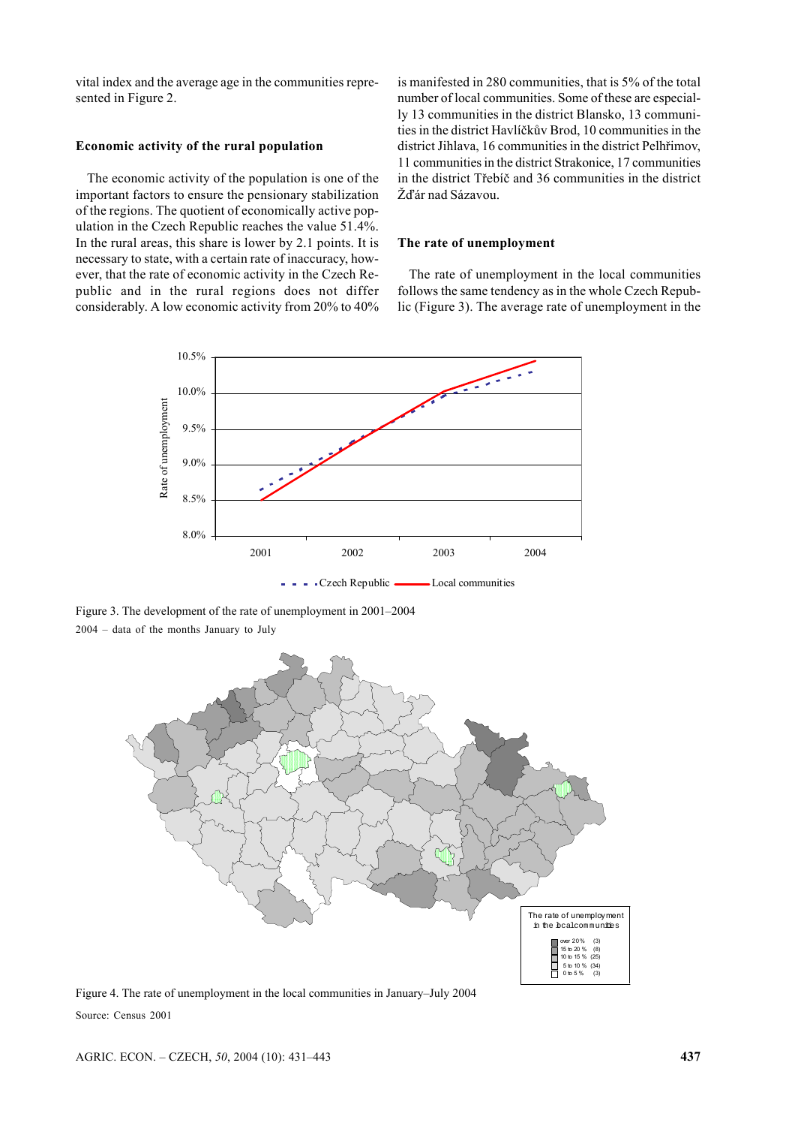vital index and the average age in the communities represented in Figure 2.

## **Economic activity of the rural population**

The economic activity of the population is one of the important factors to ensure the pensionary stabilization of the regions. The quotient of economically active population in the Czech Republic reaches the value 51.4%. In the rural areas, this share is lower by 2.1 points. It is necessary to state, with a certain rate of inaccuracy, however, that the rate of economic activity in the Czech Republic and in the rural regions does not differ considerably. A low economic activity from 20% to 40% is manifested in 280 communities, that is 5% of the total number of local communities. Some of these are especially 13 communities in the district Blansko, 13 communities in the district Havlíčkův Brod, 10 communities in the district Jihlava, 16 communities in the district Pelhřimov, 11 communities in the district Strakonice, 17 communities in the district Třebíč and 36 communities in the district Žďár nad Sázavou.

#### **The rate of unemployment**

The rate of unemployment in the local communities follows the same tendency as in the whole Czech Republic (Figure 3). The average rate of unemployment in the



Figure 3. The development of the rate of unemployment in 2001–2004 2004 – data of the months January to July



Figure 4. The rate of unemployment in the local communities in January–July 2004 Source: Census 2001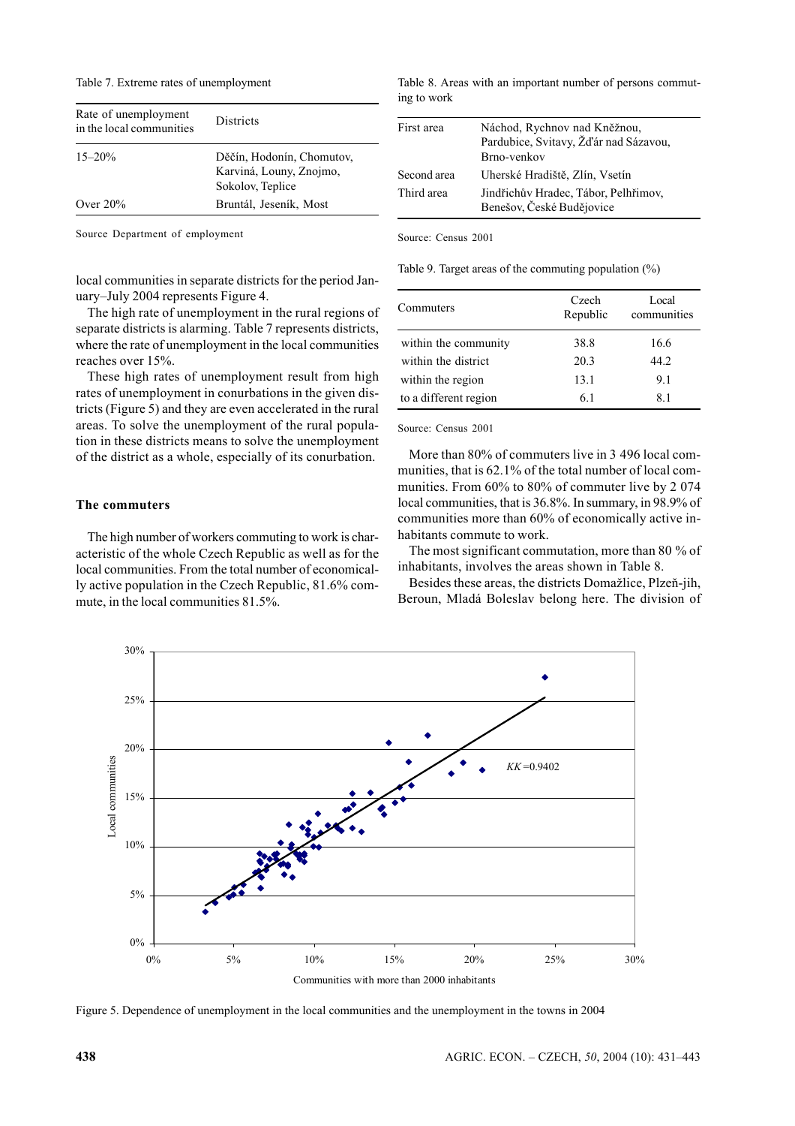Table 7. Extreme rates of unemployment

| Rate of unemployment<br>in the local communities | <b>Districts</b>                                                         |
|--------------------------------------------------|--------------------------------------------------------------------------|
| $15 - 20\%$                                      | Děčín, Hodonín, Chomutov,<br>Karviná, Louny, Znojmo,<br>Sokolov, Teplice |
| Over $20%$                                       | Bruntál, Jeseník, Most                                                   |

Source Department of employment

local communities in separate districts for the period January–July 2004 represents Figure 4.

The high rate of unemployment in the rural regions of separate districts is alarming. Table 7 represents districts, where the rate of unemployment in the local communities reaches over 15%.

These high rates of unemployment result from high rates of unemployment in conurbations in the given districts (Figure 5) and they are even accelerated in the rural areas. To solve the unemployment of the rural population in these districts means to solve the unemployment of the district as a whole, especially of its conurbation.

## **The commuters**

The high number of workers commuting to work is characteristic of the whole Czech Republic as well as for the local communities. From the total number of economically active population in the Czech Republic, 81.6% commute, in the local communities 81.5%.

Table 8. Areas with an important number of persons commuting to work

| First area  | Náchod, Rychnov nad Kněžnou,<br>Pardubice, Svitavy, Žďár nad Sázavou,<br>Brno-venkov |
|-------------|--------------------------------------------------------------------------------------|
| Second area | Uherské Hradiště, Zlín, Vsetín                                                       |
| Third area  | Jindřichův Hradec, Tábor, Pelhřimov,<br>Benešov, České Budějovice                    |

Source: Census 2001

Table 9. Target areas of the commuting population (%)

| Commuters             | Czech<br>Republic | Local<br>communities |  |
|-----------------------|-------------------|----------------------|--|
| within the community  | 38.8              | 16.6                 |  |
| within the district   | 20.3              | 44.2                 |  |
| within the region     | 13.1              | 91                   |  |
| to a different region | 61                | 8.1                  |  |

Source: Census 2001

More than 80% of commuters live in 3 496 local communities, that is 62.1% of the total number of local communities. From 60% to 80% of commuter live by 2 074 local communities, that is 36.8%. In summary, in 98.9% of communities more than 60% of economically active inhabitants commute to work.

The most significant commutation, more than 80 % of inhabitants, involves the areas shown in Table 8.

Besides these areas, the districts Domažlice, Plzeň-jih, Beroun, Mladá Boleslav belong here. The division of



Figure 5. Dependence of unemployment in the local communities and the unemployment in the towns in 2004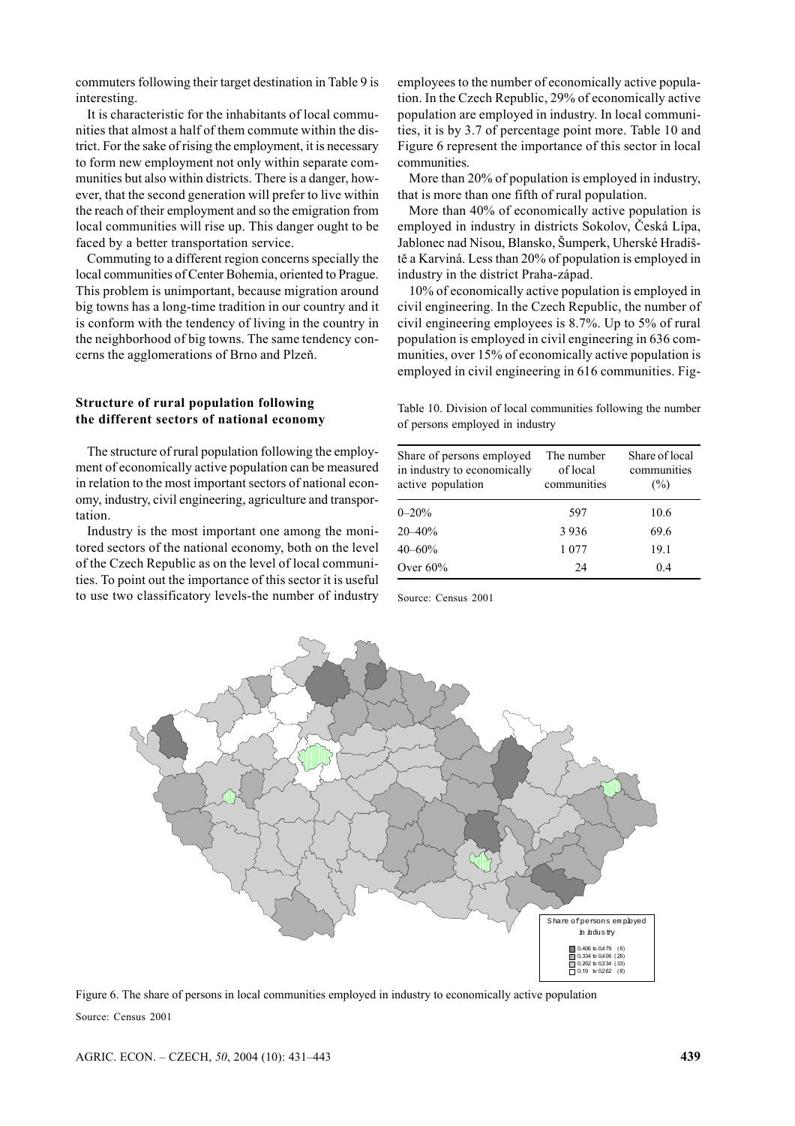commuters following their target destination in Table 9 is interesting.

It is characteristic for the inhabitants of local communities that almost a half of them commute within the district. For the sake of rising the employment, it is necessary to form new employment not only within separate communities but also within districts. There is a danger, however, that the second generation will prefer to live within the reach of their employment and so the emigration from local communities will rise up. This danger ought to be faced by a better transportation service.

Commuting to a different region concerns specially the local communities of Center Bohemia, oriented to Prague. This problem is unimportant, because migration around big towns has a long-time tradition in our country and it is conform with the tendency of living in the country in the neighborhood of big towns. The same tendency concerns the agglomerations of Brno and Plzeň.

#### **Structure of rural population following the different sectors of national economy**

The structure of rural population following the employment of economically active population can be measured in relation to the most important sectors of national economy, industry, civil engineering, agriculture and transportation.

Industry is the most important one among the monitored sectors of the national economy, both on the level of the Czech Republic as on the level of local communities. To point out the importance of this sector it is useful to use two classificatory levels-the number of industry employees to the number of economically active population. In the Czech Republic, 29% of economically active population are employed in industry. In local communities, it is by 3.7 of percentage point more. Table 10 and Figure 6 represent the importance of this sector in local communities.

More than 20% of population is employed in industry, that is more than one fifth of rural population.

More than 40% of economically active population is employed in industry in districts Sokolov, Česká Lípa, Jablonec nad Nisou, Blansko, Šumperk, Uherské Hradiště a Karviná. Less than 20% of population is employed in industry in the district Praha-západ.

10% of economically active population is employed in civil engineering. In the Czech Republic, the number of civil engineering employees is 8.7%. Up to 5% of rural population is employed in civil engineering in 636 communities, over 15% of economically active population is employed in civil engineering in 616 communities. Fig-

Table 10. Division of local communities following the number of persons employed in industry

| Share of persons employed<br>in industry to economically<br>active population | The number<br>of local<br>communities | Share of local<br>communities<br>(%) |
|-------------------------------------------------------------------------------|---------------------------------------|--------------------------------------|
| $0 - 20%$                                                                     | 597                                   | 10.6                                 |
| $20 - 40%$                                                                    | 3936                                  | 69.6                                 |
| $40 - 60%$                                                                    | 1 0 7 7                               | 19.1                                 |
| Over $60\%$                                                                   | 24                                    | 04                                   |

Source: Census 2001



Figure 6. The share of persons in local communities employed in industry to economically active population Source: Census 2001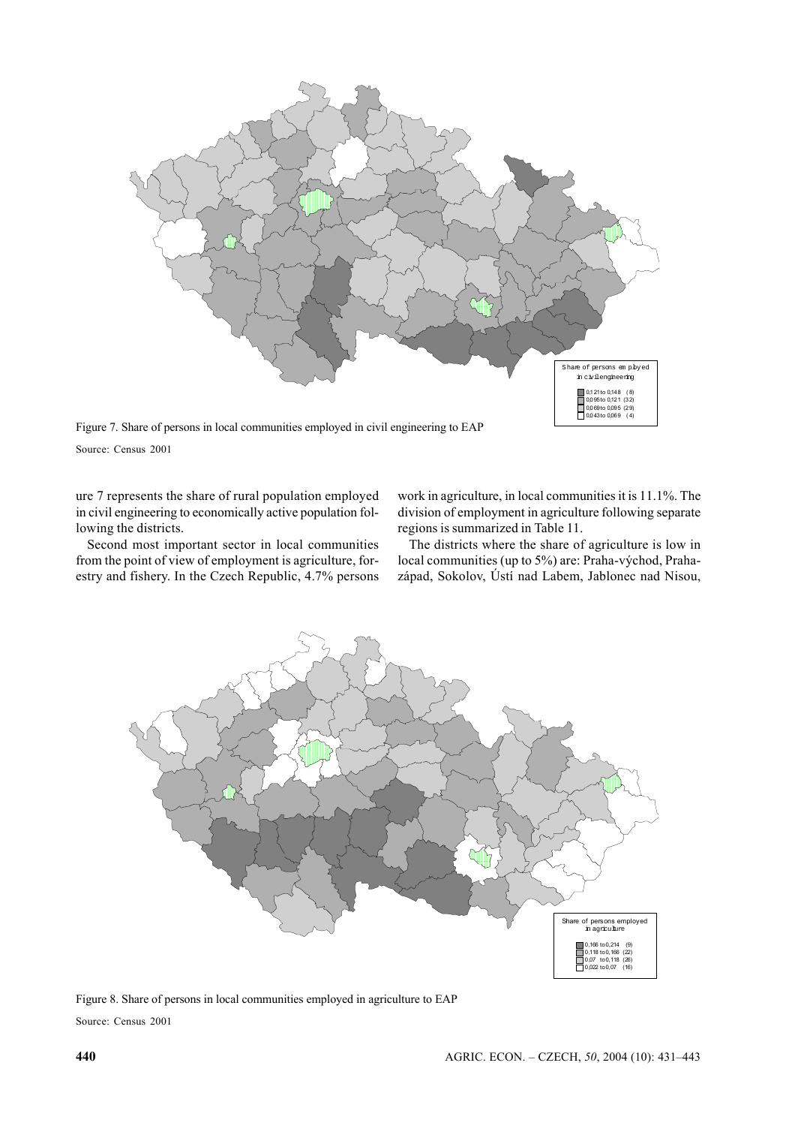

Figure 7. Share of persons in local communities employed in civil engineering to EAP

Source: Census 2001

ure 7 represents the share of rural population employed in civil engineering to economically active population following the districts.

Second most important sector in local communities from the point of view of employment is agriculture, forestry and fishery. In the Czech Republic, 4.7% persons work in agriculture, in local communities it is 11.1%. The division of employment in agriculture following separate regions is summarized in Table 11.

The districts where the share of agriculture is low in local communities (up to 5%) are: Praha-východ, Prahazápad, Sokolov, Ústí nad Labem, Jablonec nad Nisou,



Figure 8. Share of persons in local communities employed in agriculture to EAP Source: Census 2001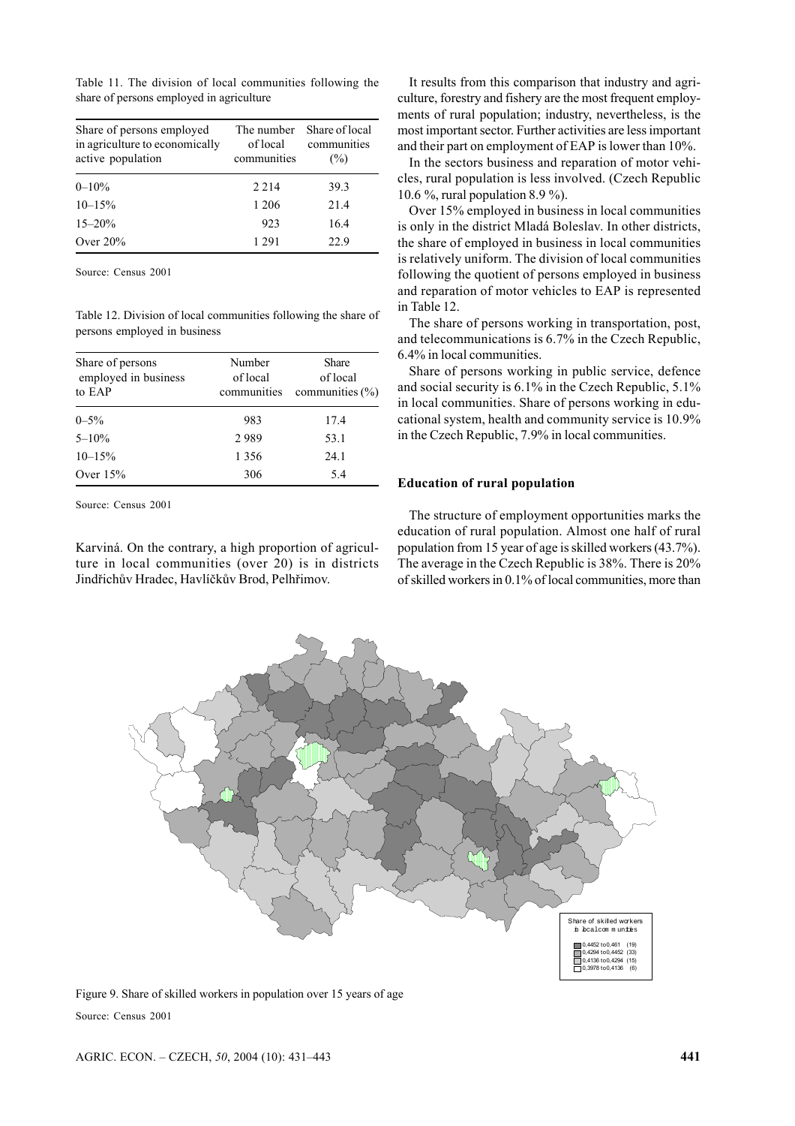Table 11. The division of local communities following the share of persons employed in agriculture

| Share of persons employed<br>in agriculture to economically<br>active population | The number<br>of local<br>communities | Share of local<br>communities<br>(%) |
|----------------------------------------------------------------------------------|---------------------------------------|--------------------------------------|
| $0 - 10\%$                                                                       | 2 2 1 4                               | 39.3                                 |
| $10 - 15%$                                                                       | 1 206                                 | 21.4                                 |
| $15 - 20%$                                                                       | 923                                   | 16.4                                 |
| Over $20%$                                                                       | 1 291                                 | 22.9                                 |

Source: Census 2001

Table 12. Division of local communities following the share of persons employed in business

| Share of persons<br>employed in business<br>to EAP | Number<br>of local<br>communities | Share<br>of local<br>communities $(\% )$ |
|----------------------------------------------------|-----------------------------------|------------------------------------------|
| $0 - 5\%$                                          | 983                               | 17.4                                     |
| $5 - 10\%$                                         | 2989                              | 53.1                                     |
| $10 - 15%$                                         | 1 3 5 6                           | 24.1                                     |
| Over $15%$                                         | 306                               | 5.4                                      |

Source: Census 2001

Karviná. On the contrary, a high proportion of agriculture in local communities (over 20) is in districts Jindřichův Hradec, Havlíčkův Brod, Pelhřimov.

It results from this comparison that industry and agriculture, forestry and fishery are the most frequent employments of rural population; industry, nevertheless, is the most important sector. Further activities are less important and their part on employment of EAP is lower than 10%.

In the sectors business and reparation of motor vehicles, rural population is less involved. (Czech Republic 10.6 %, rural population 8.9 %).

Over 15% employed in business in local communities is only in the district Mladá Boleslav. In other districts, the share of employed in business in local communities is relatively uniform. The division of local communities following the quotient of persons employed in business and reparation of motor vehicles to EAP is represented in Table 12.

The share of persons working in transportation, post, and telecommunications is 6.7% in the Czech Republic, 6.4% in local communities.

Share of persons working in public service, defence and social security is 6.1% in the Czech Republic, 5.1% in local communities. Share of persons working in educational system, health and community service is 10.9% in the Czech Republic, 7.9% in local communities.

#### **Education of rural population**

The structure of employment opportunities marks the education of rural population. Almost one half of rural population from 15 year of age is skilled workers (43.7%). The average in the Czech Republic is 38%. There is 20% of skilled workers in 0.1% of local communities, more than



Figure 9. Share of skilled workers in population over 15 years of age Source: Census 2001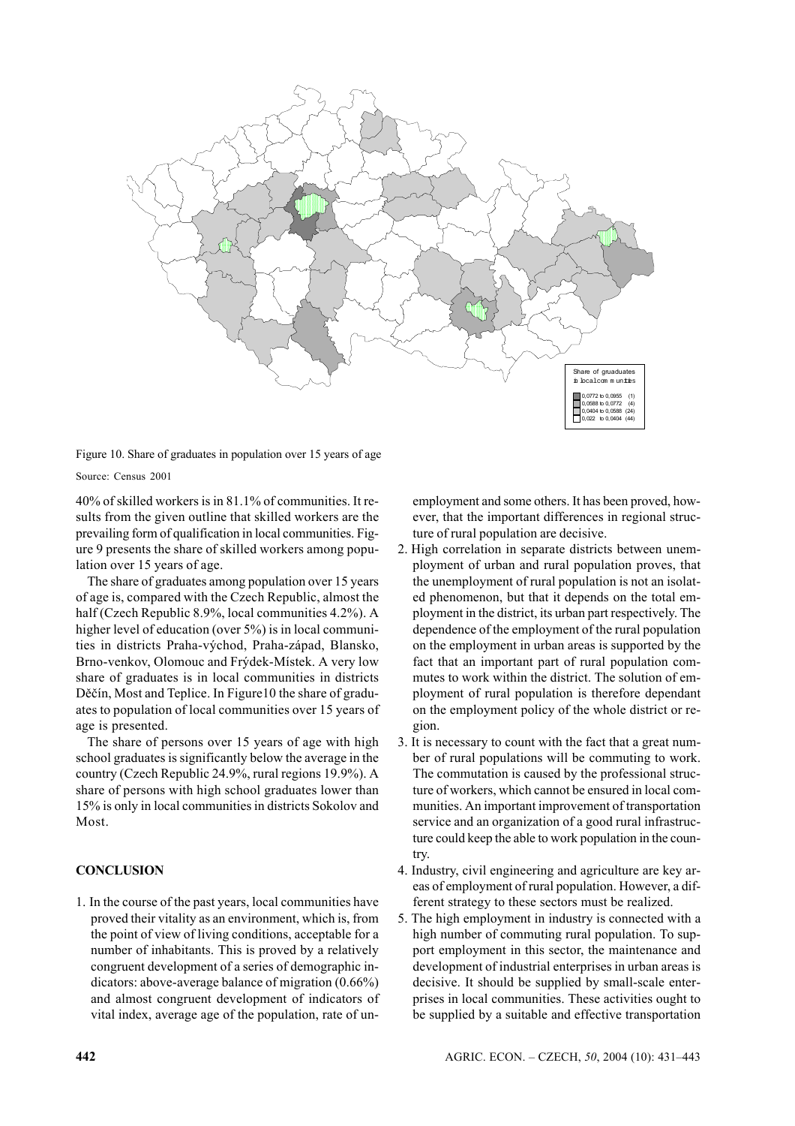

Figure 10. Share of graduates in population over 15 years of age

Source: Census 2001

40% of skilled workers is in 81.1% of communities. It results from the given outline that skilled workers are the prevailing form of qualification in local communities. Figure 9 presents the share of skilled workers among population over 15 years of age.

The share of graduates among population over 15 years of age is, compared with the Czech Republic, almost the half (Czech Republic 8.9%, local communities 4.2%). A higher level of education (over 5%) is in local communities in districts Praha-východ, Praha-západ, Blansko, Brno-venkov, Olomouc and Frýdek-Místek. A very low share of graduates is in local communities in districts Děčín, Most and Teplice. In Figure10 the share of graduates to population of local communities over 15 years of age is presented.

The share of persons over 15 years of age with high school graduates is significantly below the average in the country (Czech Republic 24.9%, rural regions 19.9%). A share of persons with high school graduates lower than 15% is only in local communities in districts Sokolov and Most.

# **CONCLUSION**

1. In the course of the past years, local communities have proved their vitality as an environment, which is, from the point of view of living conditions, acceptable for a number of inhabitants. This is proved by a relatively congruent development of a series of demographic indicators: above-average balance of migration (0.66%) and almost congruent development of indicators of vital index, average age of the population, rate of unemployment and some others. It has been proved, however, that the important differences in regional structure of rural population are decisive.

- 2. High correlation in separate districts between unemployment of urban and rural population proves, that the unemployment of rural population is not an isolated phenomenon, but that it depends on the total employment in the district, its urban part respectively. The dependence of the employment of the rural population on the employment in urban areas is supported by the fact that an important part of rural population commutes to work within the district. The solution of employment of rural population is therefore dependant on the employment policy of the whole district or region.
- 3. It is necessary to count with the fact that a great number of rural populations will be commuting to work. The commutation is caused by the professional structure of workers, which cannot be ensured in local communities. An important improvement of transportation service and an organization of a good rural infrastructure could keep the able to work population in the country.
- 4. Industry, civil engineering and agriculture are key areas of employment of rural population. However, a different strategy to these sectors must be realized.
- 5. The high employment in industry is connected with a high number of commuting rural population. To support employment in this sector, the maintenance and development of industrial enterprises in urban areas is decisive. It should be supplied by small-scale enterprises in local communities. These activities ought to be supplied by a suitable and effective transportation